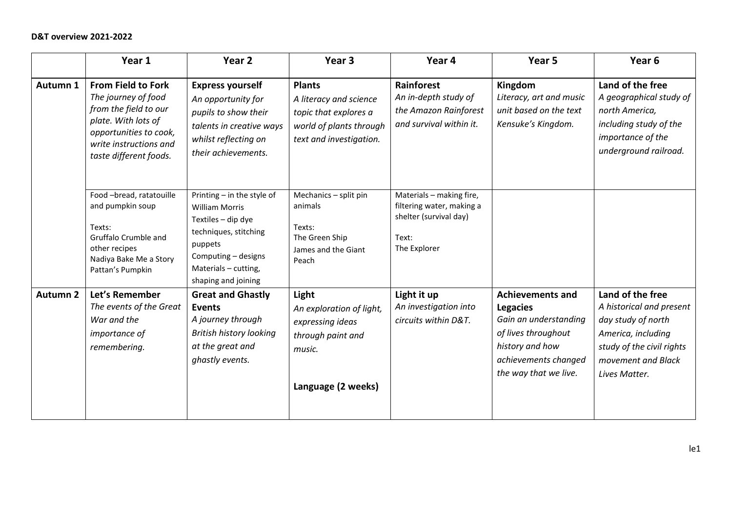|                 | Year 1                                                                                                                                                                         | Year 2                                                                                                                                                                              | Year <sub>3</sub>                                                                                                      | Year 4                                                                                                   | Year 5                                                                                                                                                         | Year <sub>6</sub>                                                                                                                                            |
|-----------------|--------------------------------------------------------------------------------------------------------------------------------------------------------------------------------|-------------------------------------------------------------------------------------------------------------------------------------------------------------------------------------|------------------------------------------------------------------------------------------------------------------------|----------------------------------------------------------------------------------------------------------|----------------------------------------------------------------------------------------------------------------------------------------------------------------|--------------------------------------------------------------------------------------------------------------------------------------------------------------|
| Autumn 1        | <b>From Field to Fork</b><br>The journey of food<br>from the field to our<br>plate. With lots of<br>opportunities to cook,<br>write instructions and<br>taste different foods. | <b>Express yourself</b><br>An opportunity for<br>pupils to show their<br>talents in creative ways<br>whilst reflecting on<br>their achievements.                                    | <b>Plants</b><br>A literacy and science<br>topic that explores a<br>world of plants through<br>text and investigation. | Rainforest<br>An in-depth study of<br>the Amazon Rainforest<br>and survival within it.                   | Kingdom<br>Literacy, art and music<br>unit based on the text<br>Kensuke's Kingdom.                                                                             | Land of the free<br>A geographical study of<br>north America,<br>including study of the<br>importance of the<br>underground railroad.                        |
|                 | Food -bread, ratatouille<br>and pumpkin soup<br>Texts:<br>Gruffalo Crumble and<br>other recipes<br>Nadiya Bake Me a Story<br>Pattan's Pumpkin                                  | Printing - in the style of<br><b>William Morris</b><br>Textiles - dip dye<br>techniques, stitching<br>puppets<br>Computing - designs<br>Materials - cutting,<br>shaping and joining | Mechanics - split pin<br>animals<br>Texts:<br>The Green Ship<br>James and the Giant<br>Peach                           | Materials - making fire,<br>filtering water, making a<br>shelter (survival day)<br>Text:<br>The Explorer |                                                                                                                                                                |                                                                                                                                                              |
| <b>Autumn 2</b> | Let's Remember<br>The events of the Great<br>War and the<br>importance of<br>remembering.                                                                                      | <b>Great and Ghastly</b><br><b>Events</b><br>A journey through<br>British history looking<br>at the great and<br>ghastly events.                                                    | Light<br>An exploration of light,<br>expressing ideas<br>through paint and<br>music.<br>Language (2 weeks)             | Light it up<br>An investigation into<br>circuits within D&T.                                             | <b>Achievements and</b><br><b>Legacies</b><br>Gain an understanding<br>of lives throughout<br>history and how<br>achievements changed<br>the way that we live. | Land of the free<br>A historical and present<br>day study of north<br>America, including<br>study of the civil rights<br>movement and Black<br>Lives Matter. |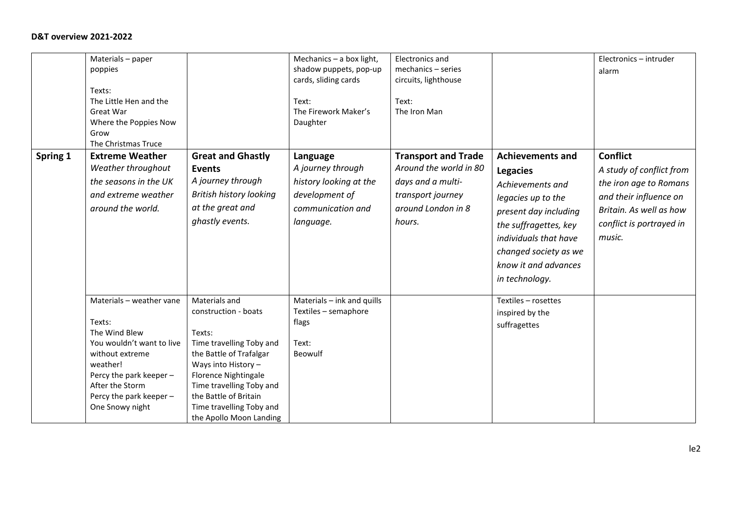| Spring 1 | Materials - paper<br>poppies<br>Texts:<br>The Little Hen and the<br>Great War<br>Where the Poppies Now<br>Grow<br>The Christmas Truce<br><b>Extreme Weather</b><br>Weather throughout<br>the seasons in the UK<br>and extreme weather<br>around the world. | <b>Great and Ghastly</b><br><b>Events</b><br>A journey through<br><b>British history looking</b><br>at the great and<br>ghastly events.                                                                                                                           | Mechanics $-$ a box light,<br>shadow puppets, pop-up<br>cards, sliding cards<br>Text:<br>The Firework Maker's<br>Daughter<br>Language<br>A journey through<br>history looking at the<br>development of<br>communication and<br>language. | <b>Electronics and</b><br>mechanics - series<br>circuits, lighthouse<br>Text:<br>The Iron Man<br><b>Transport and Trade</b><br>Around the world in 80<br>days and a multi-<br>transport journey<br>around London in 8<br>hours. | <b>Achievements and</b><br><b>Legacies</b><br>Achievements and<br>legacies up to the<br>present day including<br>the suffragettes, key<br>individuals that have<br>changed society as we<br>know it and advances | Electronics - intruder<br>alarm<br><b>Conflict</b><br>A study of conflict from<br>the iron age to Romans<br>and their influence on<br>Britain. As well as how<br>conflict is portrayed in<br>music. |
|----------|------------------------------------------------------------------------------------------------------------------------------------------------------------------------------------------------------------------------------------------------------------|-------------------------------------------------------------------------------------------------------------------------------------------------------------------------------------------------------------------------------------------------------------------|------------------------------------------------------------------------------------------------------------------------------------------------------------------------------------------------------------------------------------------|---------------------------------------------------------------------------------------------------------------------------------------------------------------------------------------------------------------------------------|------------------------------------------------------------------------------------------------------------------------------------------------------------------------------------------------------------------|-----------------------------------------------------------------------------------------------------------------------------------------------------------------------------------------------------|
|          | Materials - weather vane<br>Texts:<br>The Wind Blew<br>You wouldn't want to live<br>without extreme<br>weather!<br>Percy the park keeper -<br>After the Storm<br>Percy the park keeper -<br>One Snowy night                                                | Materials and<br>construction - boats<br>Texts:<br>Time travelling Toby and<br>the Battle of Trafalgar<br>Ways into History -<br>Florence Nightingale<br>Time travelling Toby and<br>the Battle of Britain<br>Time travelling Toby and<br>the Apollo Moon Landing | Materials - ink and quills<br>Textiles - semaphore<br>flags<br>Text:<br>Beowulf                                                                                                                                                          |                                                                                                                                                                                                                                 | in technology.<br>Textiles - rosettes<br>inspired by the<br>suffragettes                                                                                                                                         |                                                                                                                                                                                                     |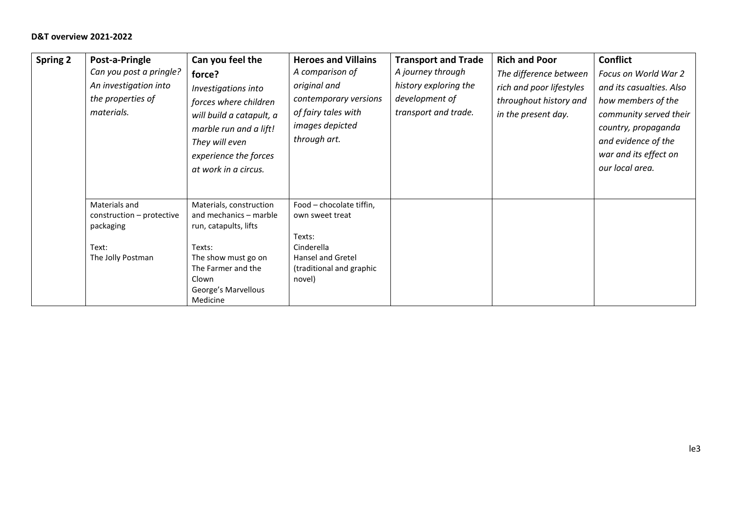| <b>Spring 2</b> | Post-a-Pringle<br>Can you post a pringle?<br>An investigation into<br>the properties of<br>materials. | Can you feel the<br>force?<br>Investigations into<br>forces where children<br>will build a catapult, a<br>marble run and a lift!<br>They will even<br>experience the forces<br>at work in a circus. | <b>Heroes and Villains</b><br>A comparison of<br>original and<br>contemporary versions<br>of fairy tales with<br>images depicted<br>through art. | <b>Transport and Trade</b><br>A journey through<br>history exploring the<br>development of<br>transport and trade. | <b>Rich and Poor</b><br>The difference between<br>rich and poor lifestyles<br>throughout history and<br>in the present day. | <b>Conflict</b><br>Focus on World War 2<br>and its casualties. Also<br>how members of the<br>community served their<br>country, propaganda<br>and evidence of the<br>war and its effect on<br>our local area. |
|-----------------|-------------------------------------------------------------------------------------------------------|-----------------------------------------------------------------------------------------------------------------------------------------------------------------------------------------------------|--------------------------------------------------------------------------------------------------------------------------------------------------|--------------------------------------------------------------------------------------------------------------------|-----------------------------------------------------------------------------------------------------------------------------|---------------------------------------------------------------------------------------------------------------------------------------------------------------------------------------------------------------|
|                 | Materials and<br>construction – protective<br>packaging<br>Text:<br>The Jolly Postman                 | Materials, construction<br>and mechanics - marble<br>run, catapults, lifts<br>Texts:<br>The show must go on<br>The Farmer and the<br>Clown<br>George's Marvellous<br>Medicine                       | Food - chocolate tiffin,<br>own sweet treat<br>Texts:<br>Cinderella<br>Hansel and Gretel<br>(traditional and graphic<br>novel)                   |                                                                                                                    |                                                                                                                             |                                                                                                                                                                                                               |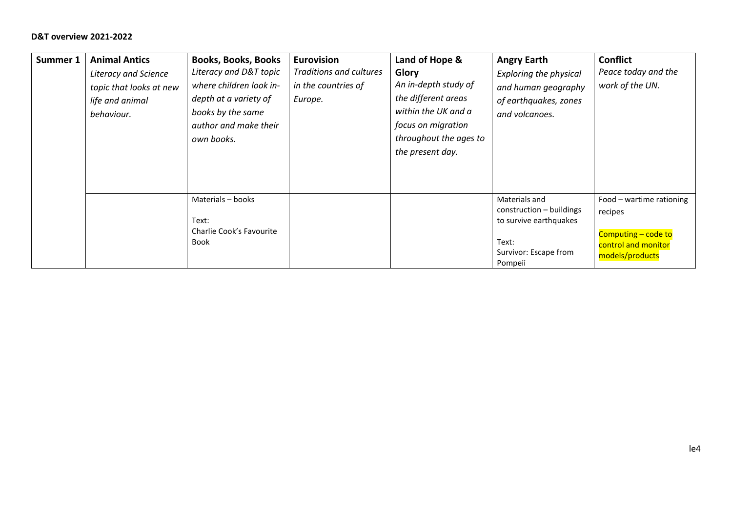| Summer 1 | <b>Animal Antics</b><br><b>Literacy and Science</b><br>topic that looks at new<br>life and animal<br>behaviour. | <b>Books, Books, Books</b><br>Literacy and D&T topic<br>where children look in-<br>depth at a variety of<br>books by the same<br>author and make their<br>own books. | <b>Eurovision</b><br>Traditions and cultures<br>in the countries of<br>Europe. | Land of Hope &<br>Glory<br>An in-depth study of<br>the different areas<br>within the UK and a<br>focus on migration<br>throughout the ages to<br>the present day. | <b>Angry Earth</b><br><b>Exploring the physical</b><br>and human geography<br>of earthquakes, zones<br>and volcanoes. | <b>Conflict</b><br>Peace today and the<br>work of the UN.                                            |
|----------|-----------------------------------------------------------------------------------------------------------------|----------------------------------------------------------------------------------------------------------------------------------------------------------------------|--------------------------------------------------------------------------------|-------------------------------------------------------------------------------------------------------------------------------------------------------------------|-----------------------------------------------------------------------------------------------------------------------|------------------------------------------------------------------------------------------------------|
|          |                                                                                                                 | Materials - books<br>Text:<br>Charlie Cook's Favourite<br><b>Book</b>                                                                                                |                                                                                |                                                                                                                                                                   | Materials and<br>construction - buildings<br>to survive earthquakes<br>Text:<br>Survivor: Escape from<br>Pompeii      | Food - wartime rationing<br>recipes<br>Computing - code to<br>control and monitor<br>models/products |